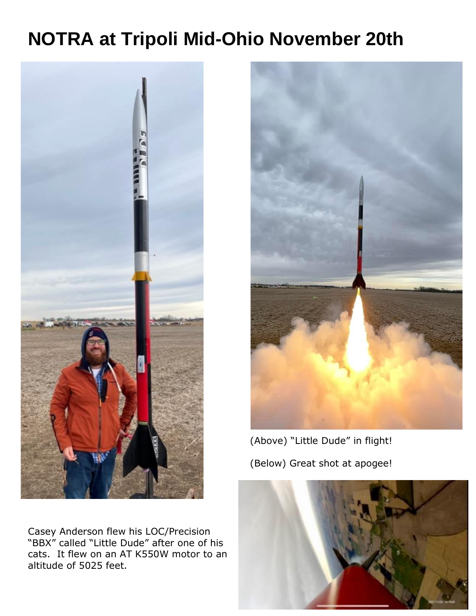## **NOTRA at Tripoli Mid-Ohio November 20th**



Casey Anderson flew his LOC/Precision "BBX" called "Little Dude" after one of his cats. It flew on an AT K550W motor to an altitude of 5025 feet.



 (Above) "Little Dude" in flight! (Below) Great shot at apogee!

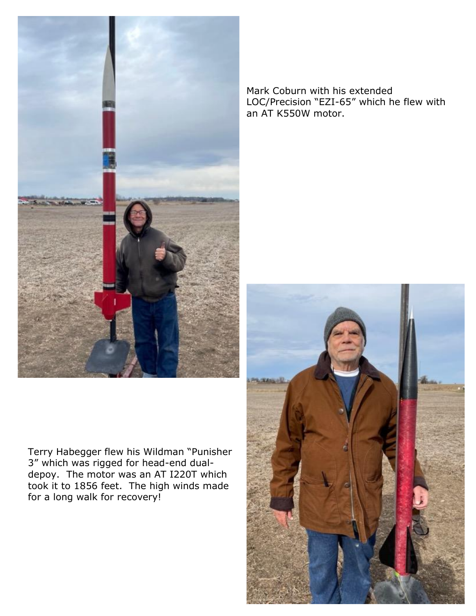

Terry Habegger flew his Wildman "Punisher 3" which was rigged for head-end dualdepoy. The motor was an AT I220T which took it to 1856 feet. The high winds made for a long walk for recovery!

Mark Coburn with his extended LOC/Precision "EZI-65" which he flew with an AT K550W motor.

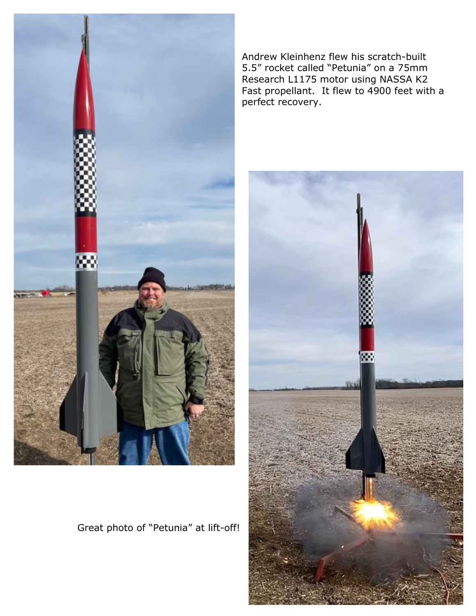

Great photo of "Petunia" at lift-off!

Andrew Kleinhenz flew his scratch-built 5.5" rocket called "Petunia" on a 75mm Research L1175 motor using NASSA K2 Fast propellant. It flew to 4900 feet with a perfect recovery.

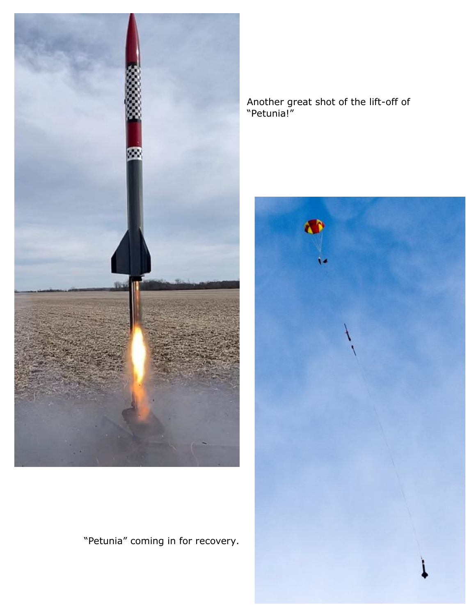

Another great shot of the lift-off of "Petunia!"



"Petunia" coming in for recovery.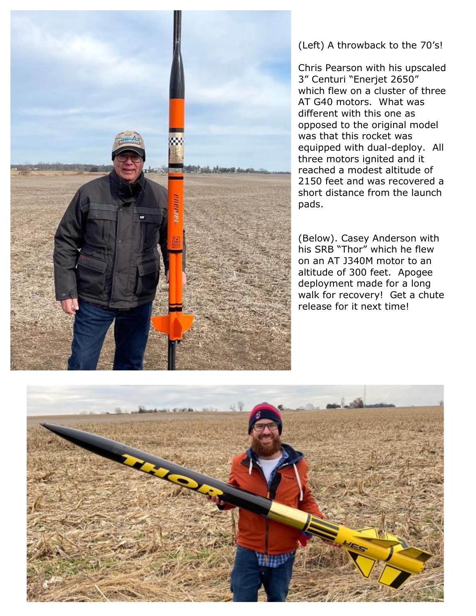

(Left) A throwback to the 70's!

Chris Pearson with his upscaled 3" Centuri "Enerjet 2650" which flew on a cluster of three AT G40 motors. What was different with this one as opposed to the original model was that this rocket was equipped with dual-deploy. All three motors ignited and it reached a modest altitude of 2150 feet and was recovered a short distance from the launch pads.

(Below). Casey Anderson with his SRB "Thor" which he flew on an AT J340M motor to an altitude of 300 feet. Apogee deployment made for a long walk for recovery! Get a chute release for it next time!

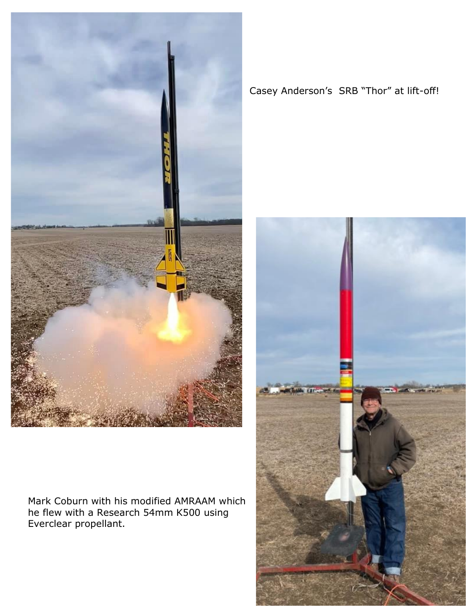

Mark Coburn with his modified AMRAAM which he flew with a Research 54mm K500 using Everclear propellant.

## Casey Anderson's SRB "Thor" at lift-off!